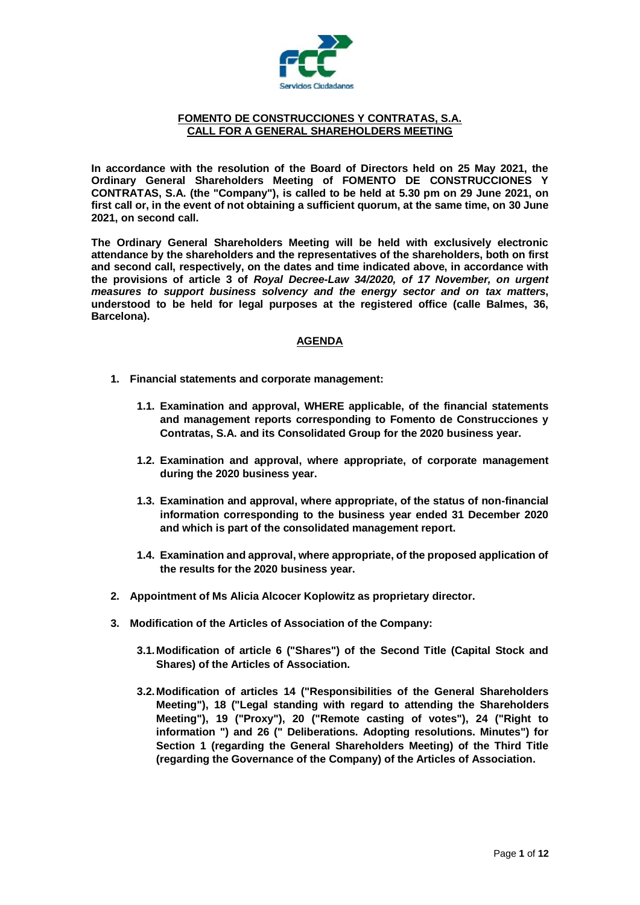

## **FOMENTO DE CONSTRUCCIONES Y CONTRATAS, S.A. CALL FOR A GENERAL SHAREHOLDERS MEETING**

**In accordance with the resolution of the Board of Directors held on 25 May 2021, the Ordinary General Shareholders Meeting of FOMENTO DE CONSTRUCCIONES Y CONTRATAS, S.A. (the "Company"), is called to be held at 5.30 pm on 29 June 2021, on first call or, in the event of not obtaining a sufficient quorum, at the same time, on 30 June 2021, on second call.**

**The Ordinary General Shareholders Meeting will be held with exclusively electronic attendance by the shareholders and the representatives of the shareholders, both on first and second call, respectively, on the dates and time indicated above, in accordance with the provisions of article 3 of** *Royal Decree-Law 34/2020, of 17 November, on urgent measures to support business solvency and the energy sector and on tax matters***, understood to be held for legal purposes at the registered office (calle Balmes, 36, Barcelona).**

# **AGENDA**

- **1. Financial statements and corporate management:**
	- **1.1. Examination and approval, WHERE applicable, of the financial statements and management reports corresponding to Fomento de Construcciones y Contratas, S.A. and its Consolidated Group for the 2020 business year.**
	- **1.2. Examination and approval, where appropriate, of corporate management during the 2020 business year.**
	- **1.3. Examination and approval, where appropriate, of the status of non-financial information corresponding to the business year ended 31 December 2020 and which is part of the consolidated management report.**
	- **1.4. Examination and approval, where appropriate, of the proposed application of the results for the 2020 business year.**
- **2. Appointment of Ms Alicia Alcocer Koplowitz as proprietary director.**
- **3. Modification of the Articles of Association of the Company:**
	- **3.1.Modification of article 6 ("Shares") of the Second Title (Capital Stock and Shares) of the Articles of Association.**
	- **3.2.Modification of articles 14 ("Responsibilities of the General Shareholders Meeting"), 18 ("Legal standing with regard to attending the Shareholders Meeting"), 19 ("Proxy"), 20 ("Remote casting of votes"), 24 ("Right to information ") and 26 (" Deliberations. Adopting resolutions. Minutes") for Section 1 (regarding the General Shareholders Meeting) of the Third Title (regarding the Governance of the Company) of the Articles of Association.**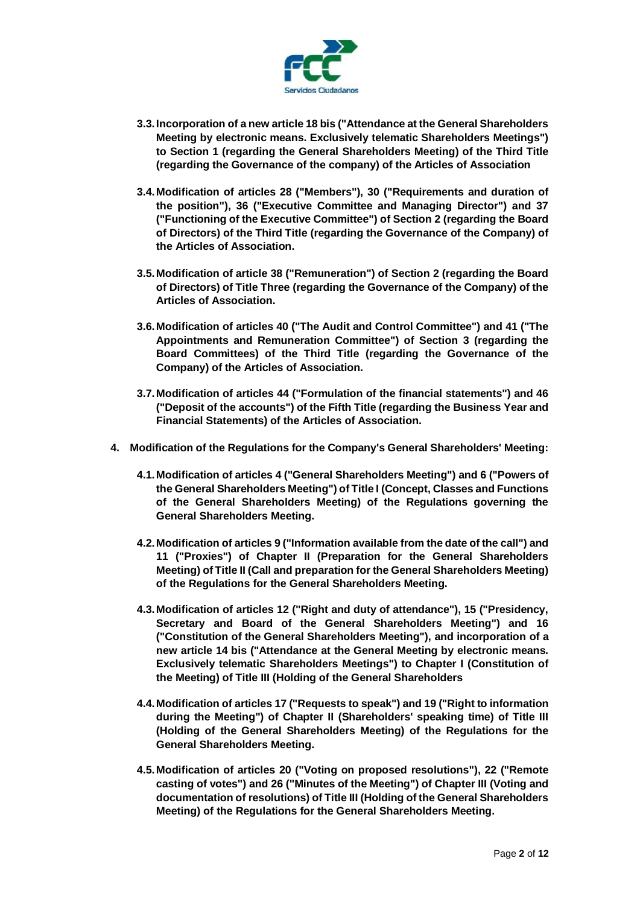

- **3.3.Incorporation of a new article 18 bis ("Attendance at the General Shareholders Meeting by electronic means. Exclusively telematic Shareholders Meetings") to Section 1 (regarding the General Shareholders Meeting) of the Third Title (regarding the Governance of the company) of the Articles of Association**
- **3.4.Modification of articles 28 ("Members"), 30 ("Requirements and duration of the position"), 36 ("Executive Committee and Managing Director") and 37 ("Functioning of the Executive Committee") of Section 2 (regarding the Board of Directors) of the Third Title (regarding the Governance of the Company) of the Articles of Association.**
- **3.5.Modification of article 38 ("Remuneration") of Section 2 (regarding the Board of Directors) of Title Three (regarding the Governance of the Company) of the Articles of Association.**
- **3.6.Modification of articles 40 ("The Audit and Control Committee") and 41 ("The Appointments and Remuneration Committee") of Section 3 (regarding the Board Committees) of the Third Title (regarding the Governance of the Company) of the Articles of Association.**
- **3.7.Modification of articles 44 ("Formulation of the financial statements") and 46 ("Deposit of the accounts") of the Fifth Title (regarding the Business Year and Financial Statements) of the Articles of Association.**
- **4. Modification of the Regulations for the Company's General Shareholders' Meeting:**
	- **4.1.Modification of articles 4 ("General Shareholders Meeting") and 6 ("Powers of the General Shareholders Meeting") of Title I (Concept, Classes and Functions of the General Shareholders Meeting) of the Regulations governing the General Shareholders Meeting.**
	- **4.2.Modification of articles 9 ("Information available from the date of the call") and 11 ("Proxies") of Chapter II (Preparation for the General Shareholders Meeting) of Title II (Call and preparation for the General Shareholders Meeting) of the Regulations for the General Shareholders Meeting.**
	- **4.3.Modification of articles 12 ("Right and duty of attendance"), 15 ("Presidency, Secretary and Board of the General Shareholders Meeting") and 16 ("Constitution of the General Shareholders Meeting"), and incorporation of a new article 14 bis ("Attendance at the General Meeting by electronic means. Exclusively telematic Shareholders Meetings") to Chapter I (Constitution of the Meeting) of Title III (Holding of the General Shareholders**
	- **4.4.Modification of articles 17 ("Requests to speak") and 19 ("Right to information during the Meeting") of Chapter II (Shareholders' speaking time) of Title III (Holding of the General Shareholders Meeting) of the Regulations for the General Shareholders Meeting.**
	- **4.5.Modification of articles 20 ("Voting on proposed resolutions"), 22 ("Remote casting of votes") and 26 ("Minutes of the Meeting") of Chapter III (Voting and documentation of resolutions) of Title III (Holding of the General Shareholders Meeting) of the Regulations for the General Shareholders Meeting.**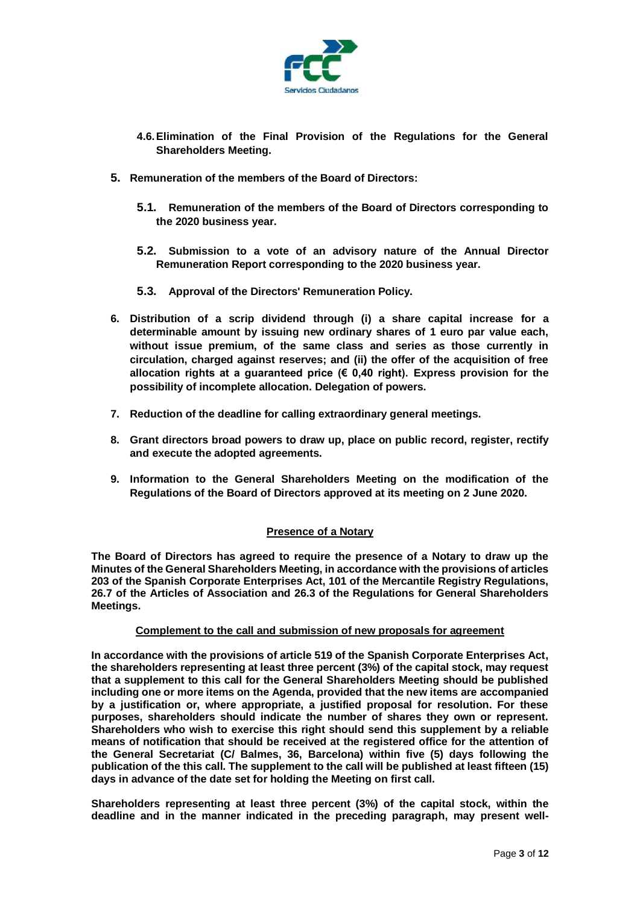

- **4.6.Elimination of the Final Provision of the Regulations for the General Shareholders Meeting.**
- **5. Remuneration of the members of the Board of Directors:**
	- **5.1. Remuneration of the members of the Board of Directors corresponding to the 2020 business year.**
	- **5.2. Submission to a vote of an advisory nature of the Annual Director Remuneration Report corresponding to the 2020 business year.**
	- **5.3. Approval of the Directors' Remuneration Policy.**
- **6. Distribution of a scrip dividend through (i) a share capital increase for a determinable amount by issuing new ordinary shares of 1 euro par value each, without issue premium, of the same class and series as those currently in circulation, charged against reserves; and (ii) the offer of the acquisition of free allocation rights at a guaranteed price (€ 0,40 right). Express provision for the possibility of incomplete allocation. Delegation of powers.**
- **7. Reduction of the deadline for calling extraordinary general meetings.**
- **8. Grant directors broad powers to draw up, place on public record, register, rectify and execute the adopted agreements.**
- **9. Information to the General Shareholders Meeting on the modification of the Regulations of the Board of Directors approved at its meeting on 2 June 2020.**

# **Presence of a Notary**

**The Board of Directors has agreed to require the presence of a Notary to draw up the Minutes of the General Shareholders Meeting, in accordance with the provisions of articles 203 of the Spanish Corporate Enterprises Act, 101 of the Mercantile Registry Regulations, 26.7 of the Articles of Association and 26.3 of the Regulations for General Shareholders Meetings.**

#### **Complement to the call and submission of new proposals for agreement**

**In accordance with the provisions of article 519 of the Spanish Corporate Enterprises Act, the shareholders representing at least three percent (3%) of the capital stock, may request that a supplement to this call for the General Shareholders Meeting should be published including one or more items on the Agenda, provided that the new items are accompanied by a justification or, where appropriate, a justified proposal for resolution. For these purposes, shareholders should indicate the number of shares they own or represent. Shareholders who wish to exercise this right should send this supplement by a reliable means of notification that should be received at the registered office for the attention of the General Secretariat (C/ Balmes, 36, Barcelona) within five (5) days following the publication of the this call. The supplement to the call will be published at least fifteen (15) days in advance of the date set for holding the Meeting on first call.**

**Shareholders representing at least three percent (3%) of the capital stock, within the deadline and in the manner indicated in the preceding paragraph, may present well-**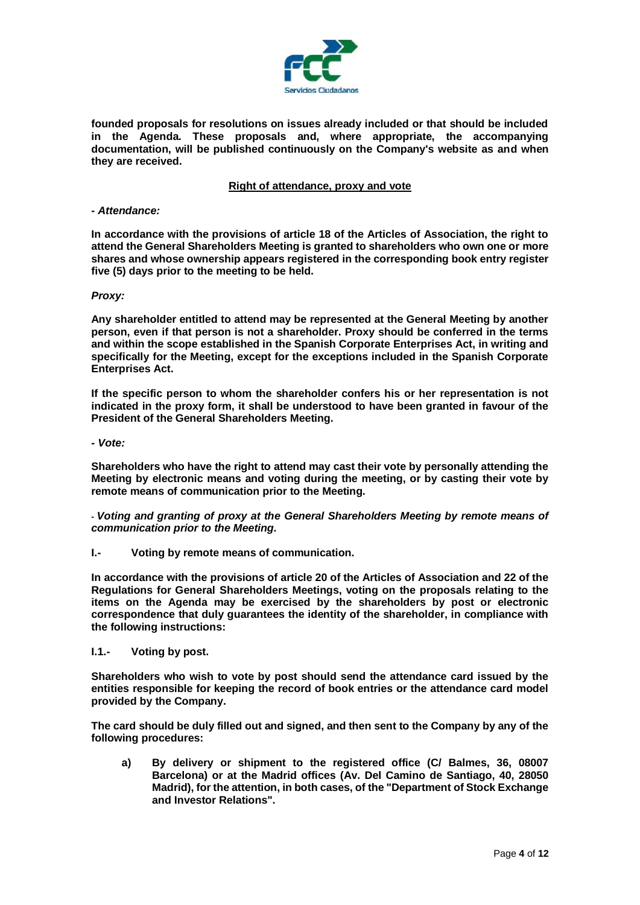

**founded proposals for resolutions on issues already included or that should be included in the Agenda. These proposals and, where appropriate, the accompanying documentation, will be published continuously on the Company's website as and when they are received.**

## **Right of attendance, proxy and vote**

#### *- Attendance:*

**In accordance with the provisions of article 18 of the Articles of Association, the right to attend the General Shareholders Meeting is granted to shareholders who own one or more shares and whose ownership appears registered in the corresponding book entry register five (5) days prior to the meeting to be held.**

#### *Proxy:*

**Any shareholder entitled to attend may be represented at the General Meeting by another person, even if that person is not a shareholder. Proxy should be conferred in the terms and within the scope established in the Spanish Corporate Enterprises Act, in writing and specifically for the Meeting, except for the exceptions included in the Spanish Corporate Enterprises Act.**

**If the specific person to whom the shareholder confers his or her representation is not indicated in the proxy form, it shall be understood to have been granted in favour of the President of the General Shareholders Meeting.**

*- Vote:*

**Shareholders who have the right to attend may cast their vote by personally attending the Meeting by electronic means and voting during the meeting, or by casting their vote by remote means of communication prior to the Meeting.**

**-** *Voting and granting of proxy at the General Shareholders Meeting by remote means of communication prior to the Meeting.*

**I.- Voting by remote means of communication.**

**In accordance with the provisions of article 20 of the Articles of Association and 22 of the Regulations for General Shareholders Meetings, voting on the proposals relating to the items on the Agenda may be exercised by the shareholders by post or electronic correspondence that duly guarantees the identity of the shareholder, in compliance with the following instructions:**

**I.1.- Voting by post.**

**Shareholders who wish to vote by post should send the attendance card issued by the entities responsible for keeping the record of book entries or the attendance card model provided by the Company.**

**The card should be duly filled out and signed, and then sent to the Company by any of the following procedures:**

**a) By delivery or shipment to the registered office (C/ Balmes, 36, 08007 Barcelona) or at the Madrid offices (Av. Del Camino de Santiago, 40, 28050 Madrid), for the attention, in both cases, of the "Department of Stock Exchange and Investor Relations".**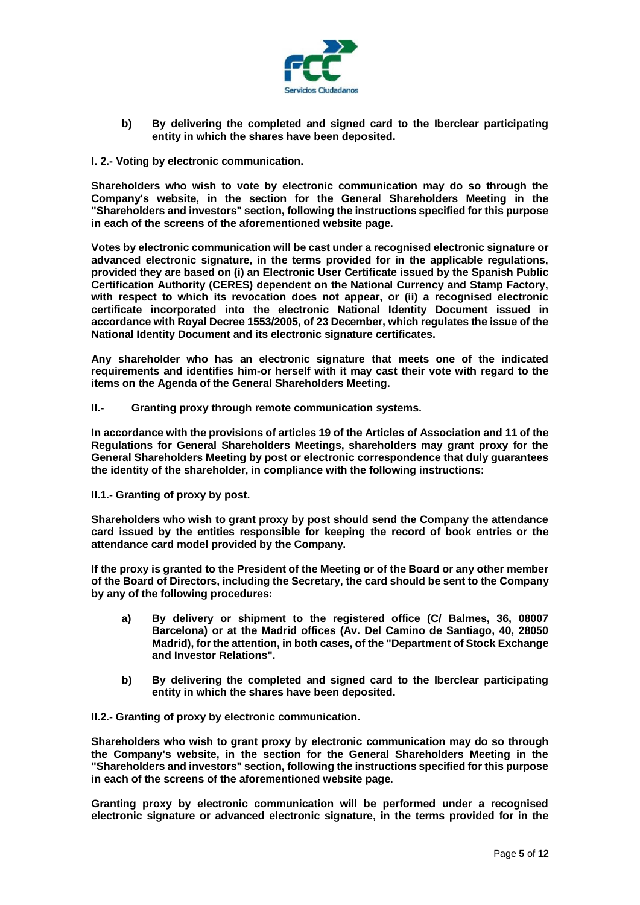

- **b) By delivering the completed and signed card to the Iberclear participating entity in which the shares have been deposited.**
- **I. 2.- Voting by electronic communication.**

**Shareholders who wish to vote by electronic communication may do so through the Company's website, in the section for the General Shareholders Meeting in the "Shareholders and investors" section, following the instructions specified for this purpose in each of the screens of the aforementioned website page.**

**Votes by electronic communication will be cast under a recognised electronic signature or advanced electronic signature, in the terms provided for in the applicable regulations, provided they are based on (i) an Electronic User Certificate issued by the Spanish Public Certification Authority (CERES) dependent on the National Currency and Stamp Factory, with respect to which its revocation does not appear, or (ii) a recognised electronic certificate incorporated into the electronic National Identity Document issued in accordance with Royal Decree 1553/2005, of 23 December, which regulates the issue of the National Identity Document and its electronic signature certificates.**

**Any shareholder who has an electronic signature that meets one of the indicated requirements and identifies him-or herself with it may cast their vote with regard to the items on the Agenda of the General Shareholders Meeting.**

**II.- Granting proxy through remote communication systems.**

**In accordance with the provisions of articles 19 of the Articles of Association and 11 of the Regulations for General Shareholders Meetings, shareholders may grant proxy for the General Shareholders Meeting by post or electronic correspondence that duly guarantees the identity of the shareholder, in compliance with the following instructions:**

**II.1.- Granting of proxy by post.**

**Shareholders who wish to grant proxy by post should send the Company the attendance card issued by the entities responsible for keeping the record of book entries or the attendance card model provided by the Company.**

**If the proxy is granted to the President of the Meeting or of the Board or any other member of the Board of Directors, including the Secretary, the card should be sent to the Company by any of the following procedures:**

- **a) By delivery or shipment to the registered office (C/ Balmes, 36, 08007 Barcelona) or at the Madrid offices (Av. Del Camino de Santiago, 40, 28050 Madrid), for the attention, in both cases, of the "Department of Stock Exchange and Investor Relations".**
- **b) By delivering the completed and signed card to the Iberclear participating entity in which the shares have been deposited.**

**II.2.- Granting of proxy by electronic communication.**

**Shareholders who wish to grant proxy by electronic communication may do so through the Company's website, in the section for the General Shareholders Meeting in the "Shareholders and investors" section, following the instructions specified for this purpose in each of the screens of the aforementioned website page.**

**Granting proxy by electronic communication will be performed under a recognised electronic signature or advanced electronic signature, in the terms provided for in the**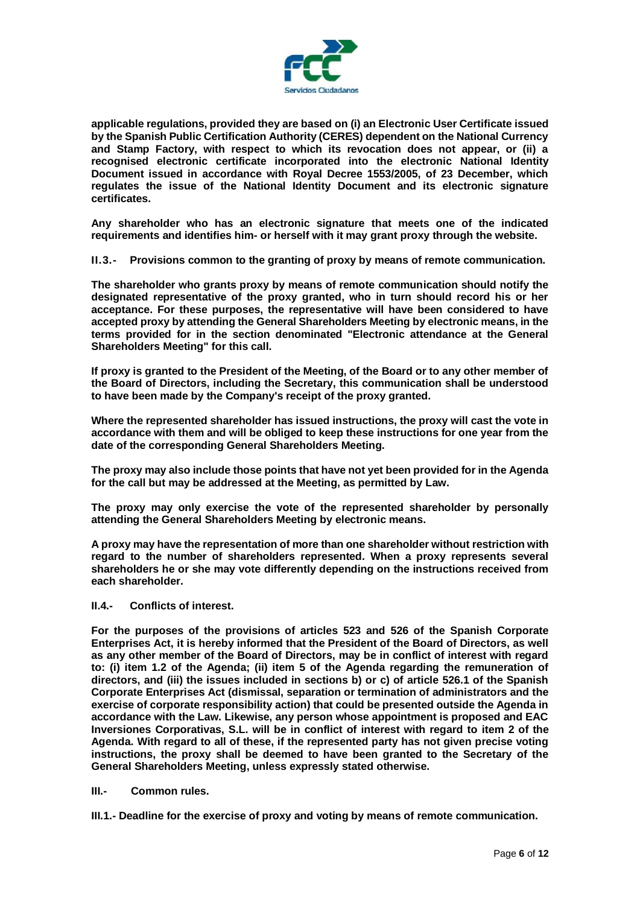

**applicable regulations, provided they are based on (i) an Electronic User Certificate issued by the Spanish Public Certification Authority (CERES) dependent on the National Currency and Stamp Factory, with respect to which its revocation does not appear, or (ii) a recognised electronic certificate incorporated into the electronic National Identity Document issued in accordance with Royal Decree 1553/2005, of 23 December, which regulates the issue of the National Identity Document and its electronic signature certificates.**

**Any shareholder who has an electronic signature that meets one of the indicated requirements and identifies him- or herself with it may grant proxy through the website.**

**II.3.- Provisions common to the granting of proxy by means of remote communication.**

**The shareholder who grants proxy by means of remote communication should notify the designated representative of the proxy granted, who in turn should record his or her acceptance. For these purposes, the representative will have been considered to have accepted proxy by attending the General Shareholders Meeting by electronic means, in the terms provided for in the section denominated "Electronic attendance at the General Shareholders Meeting" for this call.**

**If proxy is granted to the President of the Meeting, of the Board or to any other member of the Board of Directors, including the Secretary, this communication shall be understood to have been made by the Company's receipt of the proxy granted.**

**Where the represented shareholder has issued instructions, the proxy will cast the vote in accordance with them and will be obliged to keep these instructions for one year from the date of the corresponding General Shareholders Meeting.**

**The proxy may also include those points that have not yet been provided for in the Agenda for the call but may be addressed at the Meeting, as permitted by Law.**

**The proxy may only exercise the vote of the represented shareholder by personally attending the General Shareholders Meeting by electronic means.**

**A proxy may have the representation of more than one shareholder without restriction with regard to the number of shareholders represented. When a proxy represents several shareholders he or she may vote differently depending on the instructions received from each shareholder.**

#### **II.4.- Conflicts of interest.**

**For the purposes of the provisions of articles 523 and 526 of the Spanish Corporate Enterprises Act, it is hereby informed that the President of the Board of Directors, as well as any other member of the Board of Directors, may be in conflict of interest with regard to: (i) item 1.2 of the Agenda; (ii) item 5 of the Agenda regarding the remuneration of directors, and (iii) the issues included in sections b) or c) of article 526.1 of the Spanish Corporate Enterprises Act (dismissal, separation or termination of administrators and the exercise of corporate responsibility action) that could be presented outside the Agenda in accordance with the Law. Likewise, any person whose appointment is proposed and EAC Inversiones Corporativas, S.L. will be in conflict of interest with regard to item 2 of the Agenda. With regard to all of these, if the represented party has not given precise voting instructions, the proxy shall be deemed to have been granted to the Secretary of the General Shareholders Meeting, unless expressly stated otherwise.**

## **III.- Common rules.**

**III.1.- Deadline for the exercise of proxy and voting by means of remote communication.**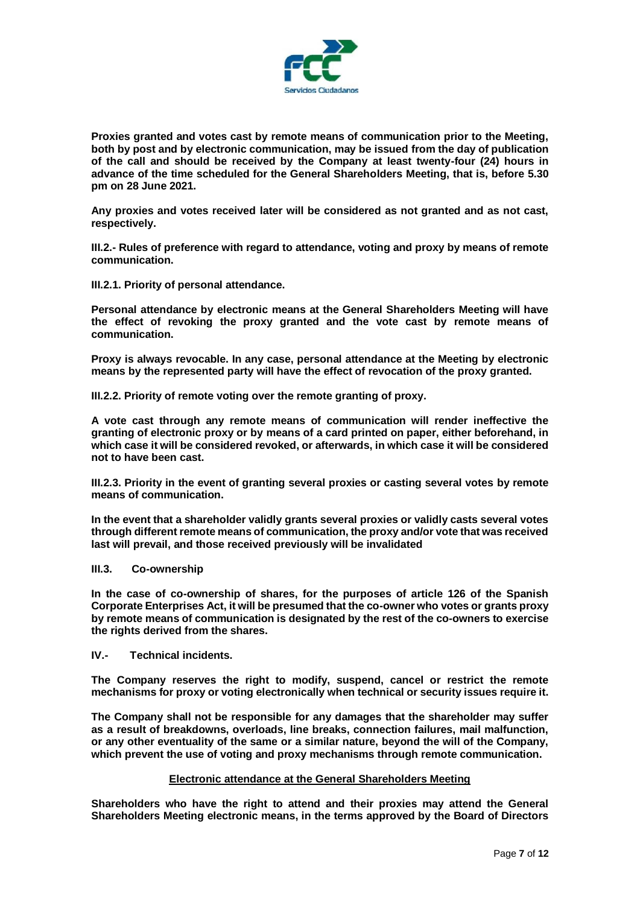

**Proxies granted and votes cast by remote means of communication prior to the Meeting, both by post and by electronic communication, may be issued from the day of publication of the call and should be received by the Company at least twenty-four (24) hours in advance of the time scheduled for the General Shareholders Meeting, that is, before 5.30 pm on 28 June 2021.**

**Any proxies and votes received later will be considered as not granted and as not cast, respectively.**

**III.2.- Rules of preference with regard to attendance, voting and proxy by means of remote communication.**

**III.2.1. Priority of personal attendance.**

**Personal attendance by electronic means at the General Shareholders Meeting will have the effect of revoking the proxy granted and the vote cast by remote means of communication.**

**Proxy is always revocable. In any case, personal attendance at the Meeting by electronic means by the represented party will have the effect of revocation of the proxy granted.**

**III.2.2. Priority of remote voting over the remote granting of proxy.**

**A vote cast through any remote means of communication will render ineffective the granting of electronic proxy or by means of a card printed on paper, either beforehand, in which case it will be considered revoked, or afterwards, in which case it will be considered not to have been cast.**

**III.2.3. Priority in the event of granting several proxies or casting several votes by remote means of communication.**

**In the event that a shareholder validly grants several proxies or validly casts several votes through different remote means of communication, the proxy and/or vote that was received last will prevail, and those received previously will be invalidated**

#### **III.3. Co-ownership**

**In the case of co-ownership of shares, for the purposes of article 126 of the Spanish Corporate Enterprises Act, it will be presumed that the co-owner who votes or grants proxy by remote means of communication is designated by the rest of the co-owners to exercise the rights derived from the shares.**

#### **IV.- Technical incidents.**

**The Company reserves the right to modify, suspend, cancel or restrict the remote mechanisms for proxy or voting electronically when technical or security issues require it.**

**The Company shall not be responsible for any damages that the shareholder may suffer as a result of breakdowns, overloads, line breaks, connection failures, mail malfunction, or any other eventuality of the same or a similar nature, beyond the will of the Company, which prevent the use of voting and proxy mechanisms through remote communication.**

#### **Electronic attendance at the General Shareholders Meeting**

**Shareholders who have the right to attend and their proxies may attend the General Shareholders Meeting electronic means, in the terms approved by the Board of Directors**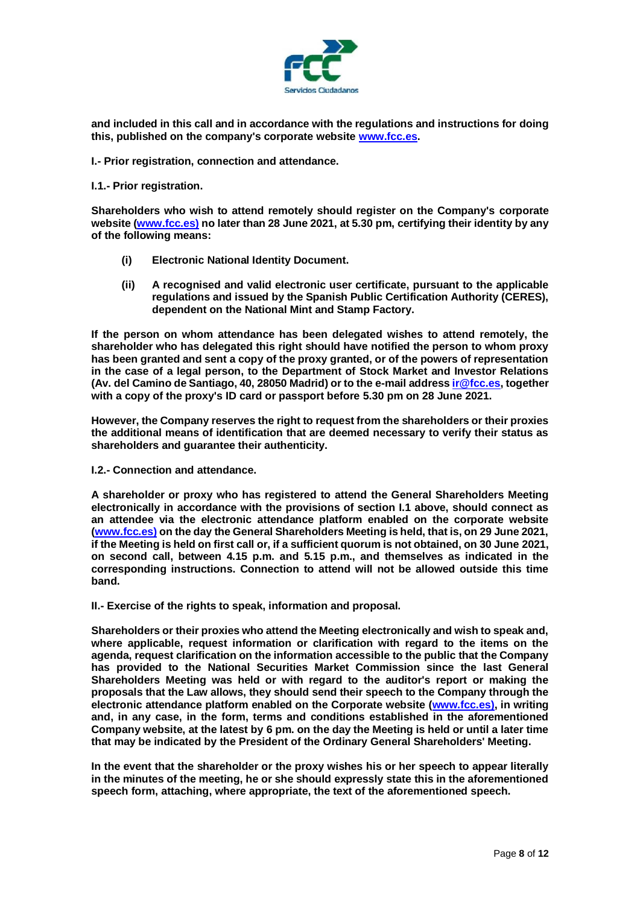

**and included in this call and in accordance with the regulations and instructions for doing this, published on the company's corporate website [www.fcc.es.](http://www.fcc.es/)**

**I.- Prior registration, connection and attendance.**

#### **I.1.- Prior registration.**

**Shareholders who wish to attend remotely should register on the Company's corporate website [\(www.fcc.es\)](http://www.fcc.es/) no later than 28 June 2021, at 5.30 pm, certifying their identity by any of the following means:**

- **(i) Electronic National Identity Document.**
- **(ii) A recognised and valid electronic user certificate, pursuant to the applicable regulations and issued by the Spanish Public Certification Authority (CERES), dependent on the National Mint and Stamp Factory.**

**If the person on whom attendance has been delegated wishes to attend remotely, the shareholder who has delegated this right should have notified the person to whom proxy has been granted and sent a copy of the proxy granted, or of the powers of representation in the case of a legal person, to the Department of Stock Market and Investor Relations (Av. del Camino de Santiago, 40, 28050 Madrid) or to the e-mail addres[s ir@fcc.es,](mailto:ir@fcc.es) together with a copy of the proxy's ID card or passport before 5.30 pm on 28 June 2021.** 

**However, the Company reserves the right to request from the shareholders or their proxies the additional means of identification that are deemed necessary to verify their status as shareholders and guarantee their authenticity.**

**I.2.- Connection and attendance.**

**A shareholder or proxy who has registered to attend the General Shareholders Meeting electronically in accordance with the provisions of section I.1 above, should connect as an attendee via the electronic attendance platform enabled on the corporate website [\(www.fcc.es\)](http://www.fcc.es/) on the day the General Shareholders Meeting is held, that is, on 29 June 2021, if the Meeting is held on first call or, if a sufficient quorum is not obtained, on 30 June 2021, on second call, between 4.15 p.m. and 5.15 p.m., and themselves as indicated in the corresponding instructions. Connection to attend will not be allowed outside this time band.**

**II.- Exercise of the rights to speak, information and proposal.**

**Shareholders or their proxies who attend the Meeting electronically and wish to speak and, where applicable, request information or clarification with regard to the items on the agenda, request clarification on the information accessible to the public that the Company has provided to the National Securities Market Commission since the last General Shareholders Meeting was held or with regard to the auditor's report or making the proposals that the Law allows, they should send their speech to the Company through the electronic attendance platform enabled on the Corporate website [\(www.fcc.es\)](http://www.fcc.es/), in writing and, in any case, in the form, terms and conditions established in the aforementioned Company website, at the latest by 6 pm. on the day the Meeting is held or until a later time that may be indicated by the President of the Ordinary General Shareholders' Meeting.**

**In the event that the shareholder or the proxy wishes his or her speech to appear literally in the minutes of the meeting, he or she should expressly state this in the aforementioned speech form, attaching, where appropriate, the text of the aforementioned speech.**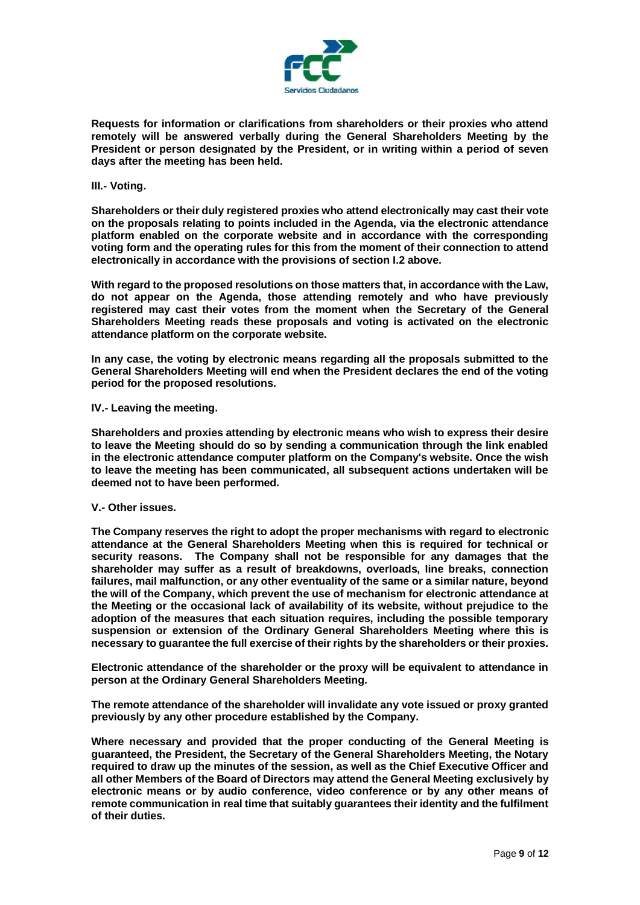

**Requests for information or clarifications from shareholders or their proxies who attend remotely will be answered verbally during the General Shareholders Meeting by the President or person designated by the President, or in writing within a period of seven days after the meeting has been held.**

#### **III.- Voting.**

**Shareholders or their duly registered proxies who attend electronically may cast their vote on the proposals relating to points included in the Agenda, via the electronic attendance platform enabled on the corporate website and in accordance with the corresponding voting form and the operating rules for this from the moment of their connection to attend electronically in accordance with the provisions of section I.2 above.**

**With regard to the proposed resolutions on those matters that, in accordance with the Law, do not appear on the Agenda, those attending remotely and who have previously registered may cast their votes from the moment when the Secretary of the General Shareholders Meeting reads these proposals and voting is activated on the electronic attendance platform on the corporate website.** 

**In any case, the voting by electronic means regarding all the proposals submitted to the General Shareholders Meeting will end when the President declares the end of the voting period for the proposed resolutions.**

**IV.- Leaving the meeting.**

**Shareholders and proxies attending by electronic means who wish to express their desire to leave the Meeting should do so by sending a communication through the link enabled in the electronic attendance computer platform on the Company's website. Once the wish to leave the meeting has been communicated, all subsequent actions undertaken will be deemed not to have been performed.**

### **V.- Other issues.**

**The Company reserves the right to adopt the proper mechanisms with regard to electronic attendance at the General Shareholders Meeting when this is required for technical or security reasons. The Company shall not be responsible for any damages that the shareholder may suffer as a result of breakdowns, overloads, line breaks, connection failures, mail malfunction, or any other eventuality of the same or a similar nature, beyond the will of the Company, which prevent the use of mechanism for electronic attendance at the Meeting or the occasional lack of availability of its website, without prejudice to the adoption of the measures that each situation requires, including the possible temporary suspension or extension of the Ordinary General Shareholders Meeting where this is necessary to guarantee the full exercise of their rights by the shareholders or their proxies.**

**Electronic attendance of the shareholder or the proxy will be equivalent to attendance in person at the Ordinary General Shareholders Meeting.**

**The remote attendance of the shareholder will invalidate any vote issued or proxy granted previously by any other procedure established by the Company.**

**Where necessary and provided that the proper conducting of the General Meeting is guaranteed, the President, the Secretary of the General Shareholders Meeting, the Notary required to draw up the minutes of the session, as well as the Chief Executive Officer and all other Members of the Board of Directors may attend the General Meeting exclusively by electronic means or by audio conference, video conference or by any other means of remote communication in real time that suitably guarantees their identity and the fulfilment of their duties.**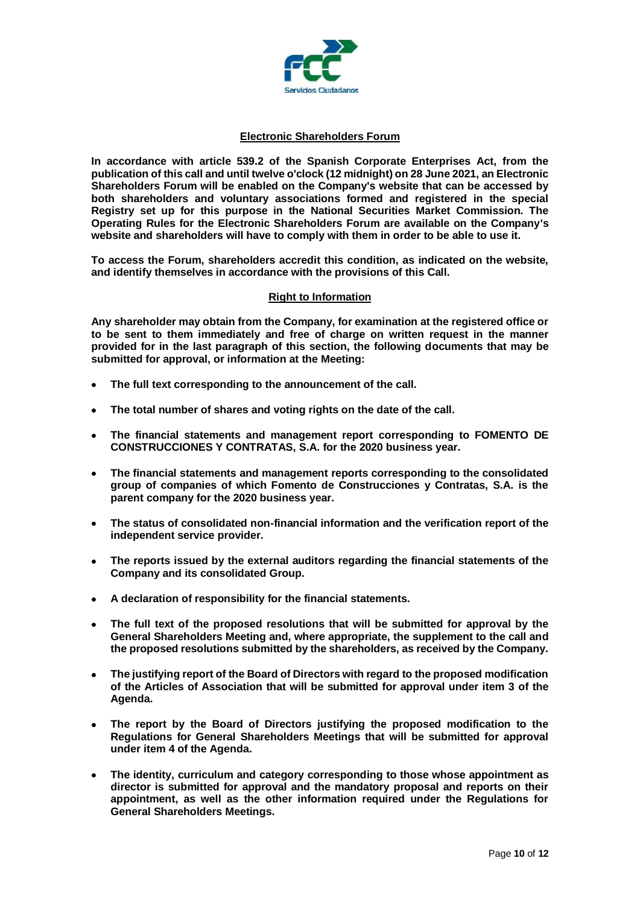

# **Electronic Shareholders Forum**

**In accordance with article 539.2 of the Spanish Corporate Enterprises Act, from the publication of this call and until twelve o'clock (12 midnight) on 28 June 2021, an Electronic Shareholders Forum will be enabled on the Company's website that can be accessed by both shareholders and voluntary associations formed and registered in the special Registry set up for this purpose in the National Securities Market Commission. The Operating Rules for the Electronic Shareholders Forum are available on the Company's website and shareholders will have to comply with them in order to be able to use it.**

**To access the Forum, shareholders accredit this condition, as indicated on the website, and identify themselves in accordance with the provisions of this Call.**

# **Right to Information**

**Any shareholder may obtain from the Company, for examination at the registered office or to be sent to them immediately and free of charge on written request in the manner provided for in the last paragraph of this section, the following documents that may be submitted for approval, or information at the Meeting:**

- **The full text corresponding to the announcement of the call.**
- **The total number of shares and voting rights on the date of the call.**
- **The financial statements and management report corresponding to FOMENTO DE CONSTRUCCIONES Y CONTRATAS, S.A. for the 2020 business year.**
- **The financial statements and management reports corresponding to the consolidated group of companies of which Fomento de Construcciones y Contratas, S.A. is the parent company for the 2020 business year.**
- **The status of consolidated non-financial information and the verification report of the independent service provider.**
- **The reports issued by the external auditors regarding the financial statements of the Company and its consolidated Group.**
- **A declaration of responsibility for the financial statements.**
- **The full text of the proposed resolutions that will be submitted for approval by the General Shareholders Meeting and, where appropriate, the supplement to the call and the proposed resolutions submitted by the shareholders, as received by the Company.**
- **The justifying report of the Board of Directors with regard to the proposed modification of the Articles of Association that will be submitted for approval under item 3 of the Agenda.**
- **The report by the Board of Directors justifying the proposed modification to the Regulations for General Shareholders Meetings that will be submitted for approval under item 4 of the Agenda.**
- **The identity, curriculum and category corresponding to those whose appointment as director is submitted for approval and the mandatory proposal and reports on their appointment, as well as the other information required under the Regulations for General Shareholders Meetings.**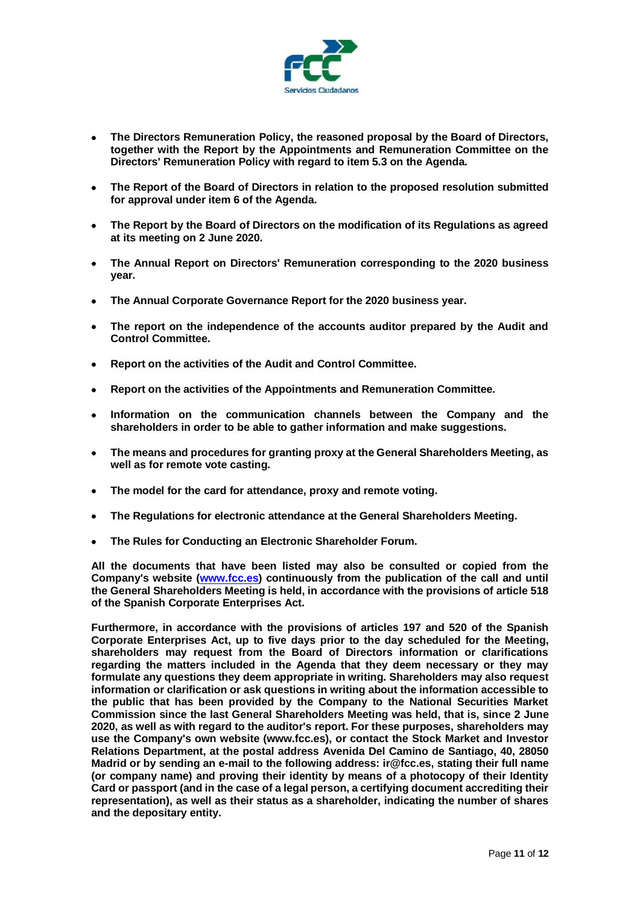

- **The Directors Remuneration Policy, the reasoned proposal by the Board of Directors, together with the Report by the Appointments and Remuneration Committee on the Directors' Remuneration Policy with regard to item 5.3 on the Agenda.**
- **The Report of the Board of Directors in relation to the proposed resolution submitted for approval under item 6 of the Agenda.**
- **The Report by the Board of Directors on the modification of its Regulations as agreed at its meeting on 2 June 2020.**
- **The Annual Report on Directors' Remuneration corresponding to the 2020 business year.**
- **The Annual Corporate Governance Report for the 2020 business year.**
- **The report on the independence of the accounts auditor prepared by the Audit and Control Committee.**
- **Report on the activities of the Audit and Control Committee.**
- **Report on the activities of the Appointments and Remuneration Committee.**
- **Information on the communication channels between the Company and the shareholders in order to be able to gather information and make suggestions.**
- **The means and procedures for granting proxy at the General Shareholders Meeting, as well as for remote vote casting.**
- **The model for the card for attendance, proxy and remote voting.**
- **The Regulations for electronic attendance at the General Shareholders Meeting.**
- **The Rules for Conducting an Electronic Shareholder Forum.**

**All the documents that have been listed may also be consulted or copied from the Company's website (www.fcc.es) continuously from the publication of the call and until the General Shareholders Meeting is held, in accordance with the provisions of article 518 of the Spanish Corporate Enterprises Act.**

**Furthermore, in accordance with the provisions of articles 197 and 520 of the Spanish Corporate Enterprises Act, up to five days prior to the day scheduled for the Meeting, shareholders may request from the Board of Directors information or clarifications regarding the matters included in the Agenda that they deem necessary or they may formulate any questions they deem appropriate in writing. Shareholders may also request information or clarification or ask questions in writing about the information accessible to the public that has been provided by the Company to the National Securities Market Commission since the last General Shareholders Meeting was held, that is, since 2 June 2020, as well as with regard to the auditor's report. For these purposes, shareholders may use the Company's own website (www.fcc.es), or contact the Stock Market and Investor Relations Department, at the postal address Avenida Del Camino de Santiago, 40, 28050 Madrid or by sending an e-mail to the following address: [ir@fcc.es,](mailto:ir@fcc.es) stating their full name (or company name) and proving their identity by means of a photocopy of their Identity Card or passport (and in the case of a legal person, a certifying document accrediting their representation), as well as their status as a shareholder, indicating the number of shares and the depositary entity.**